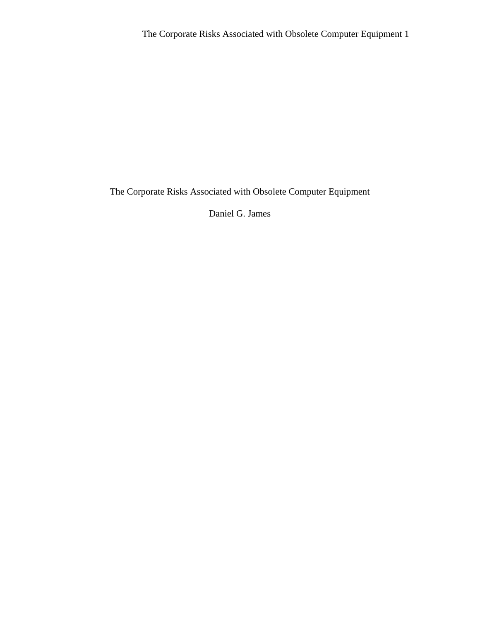Daniel G. James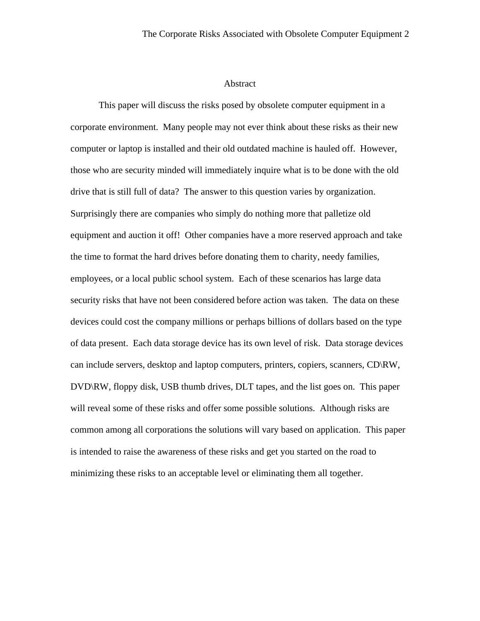### Abstract

This paper will discuss the risks posed by obsolete computer equipment in a corporate environment. Many people may not ever think about these risks as their new computer or laptop is installed and their old outdated machine is hauled off. However, those who are security minded will immediately inquire what is to be done with the old drive that is still full of data? The answer to this question varies by organization. Surprisingly there are companies who simply do nothing more that palletize old equipment and auction it off! Other companies have a more reserved approach and take the time to format the hard drives before donating them to charity, needy families, employees, or a local public school system. Each of these scenarios has large data security risks that have not been considered before action was taken. The data on these devices could cost the company millions or perhaps billions of dollars based on the type of data present. Each data storage device has its own level of risk. Data storage devices can include servers, desktop and laptop computers, printers, copiers, scanners, CD\RW, DVD\RW, floppy disk, USB thumb drives, DLT tapes, and the list goes on. This paper will reveal some of these risks and offer some possible solutions. Although risks are common among all corporations the solutions will vary based on application. This paper is intended to raise the awareness of these risks and get you started on the road to minimizing these risks to an acceptable level or eliminating them all together.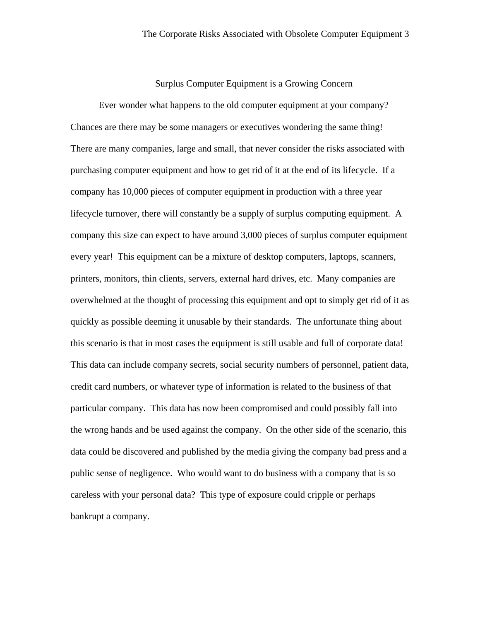Surplus Computer Equipment is a Growing Concern

Ever wonder what happens to the old computer equipment at your company? Chances are there may be some managers or executives wondering the same thing! There are many companies, large and small, that never consider the risks associated with purchasing computer equipment and how to get rid of it at the end of its lifecycle. If a company has 10,000 pieces of computer equipment in production with a three year lifecycle turnover, there will constantly be a supply of surplus computing equipment. A company this size can expect to have around 3,000 pieces of surplus computer equipment every year! This equipment can be a mixture of desktop computers, laptops, scanners, printers, monitors, thin clients, servers, external hard drives, etc. Many companies are overwhelmed at the thought of processing this equipment and opt to simply get rid of it as quickly as possible deeming it unusable by their standards. The unfortunate thing about this scenario is that in most cases the equipment is still usable and full of corporate data! This data can include company secrets, social security numbers of personnel, patient data, credit card numbers, or whatever type of information is related to the business of that particular company. This data has now been compromised and could possibly fall into the wrong hands and be used against the company. On the other side of the scenario, this data could be discovered and published by the media giving the company bad press and a public sense of negligence. Who would want to do business with a company that is so careless with your personal data? This type of exposure could cripple or perhaps bankrupt a company.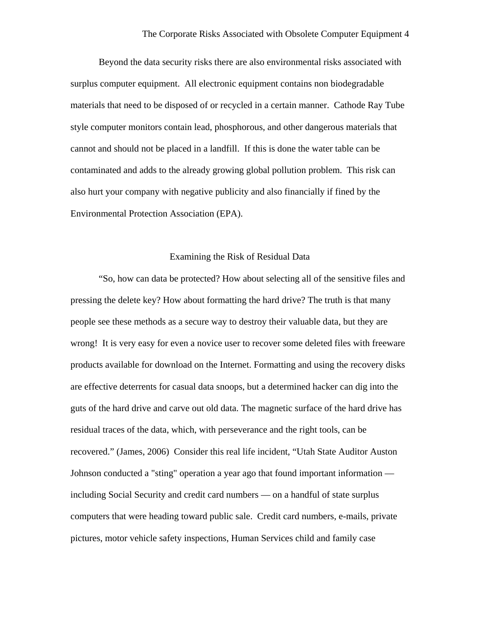Beyond the data security risks there are also environmental risks associated with surplus computer equipment. All electronic equipment contains non biodegradable materials that need to be disposed of or recycled in a certain manner. Cathode Ray Tube style computer monitors contain lead, phosphorous, and other dangerous materials that cannot and should not be placed in a landfill. If this is done the water table can be contaminated and adds to the already growing global pollution problem. This risk can also hurt your company with negative publicity and also financially if fined by the Environmental Protection Association (EPA).

#### Examining the Risk of Residual Data

 "So, how can data be protected? How about selecting all of the sensitive files and pressing the delete key? How about formatting the hard drive? The truth is that many people see these methods as a secure way to destroy their valuable data, but they are wrong! It is very easy for even a novice user to recover some deleted files with freeware products available for download on the Internet. Formatting and using the recovery disks are effective deterrents for casual data snoops, but a determined hacker can dig into the guts of the hard drive and carve out old data. The magnetic surface of the hard drive has residual traces of the data, which, with perseverance and the right tools, can be recovered." (James, 2006) Consider this real life incident, "Utah State Auditor Auston Johnson conducted a "sting" operation a year ago that found important information including Social Security and credit card numbers — on a handful of state surplus computers that were heading toward public sale. Credit card numbers, e-mails, private pictures, motor vehicle safety inspections, Human Services child and family case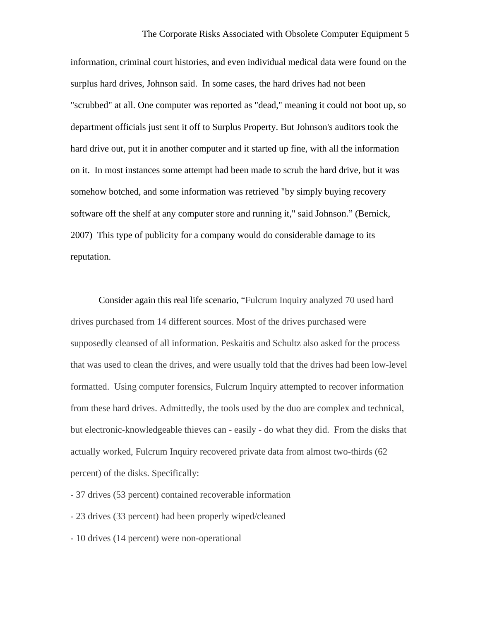information, criminal court histories, and even individual medical data were found on the surplus hard drives, Johnson said. In some cases, the hard drives had not been "scrubbed" at all. One computer was reported as "dead," meaning it could not boot up, so department officials just sent it off to Surplus Property. But Johnson's auditors took the hard drive out, put it in another computer and it started up fine, with all the information on it. In most instances some attempt had been made to scrub the hard drive, but it was somehow botched, and some information was retrieved "by simply buying recovery software off the shelf at any computer store and running it," said Johnson." (Bernick, 2007) This type of publicity for a company would do considerable damage to its reputation.

 Consider again this real life scenario, "Fulcrum Inquiry analyzed 70 used hard drives purchased from 14 different sources. Most of the drives purchased were supposedly cleansed of all information. Peskaitis and Schultz also asked for the process that was used to clean the drives, and were usually told that the drives had been low-level formatted. Using computer forensics, Fulcrum Inquiry attempted to recover information from these hard drives. Admittedly, the tools used by the duo are complex and technical, but electronic-knowledgeable thieves can - easily - do what they did. From the disks that actually worked, Fulcrum Inquiry recovered private data from almost two-thirds (62 percent) of the disks. Specifically:

- 37 drives (53 percent) contained recoverable information

- 23 drives (33 percent) had been properly wiped/cleaned

- 10 drives (14 percent) were non-operational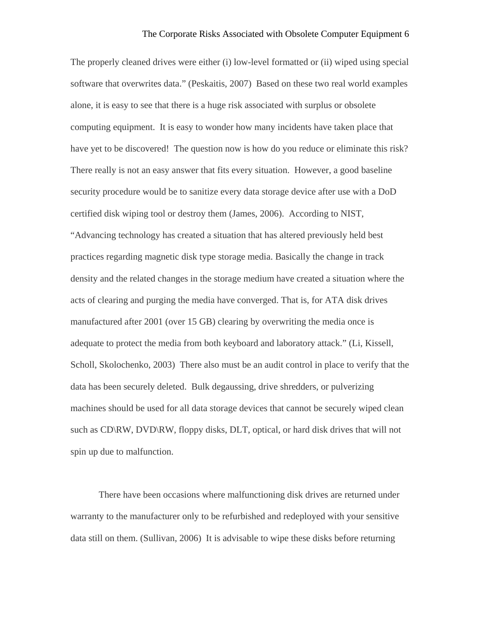The properly cleaned drives were either (i) low-level formatted or (ii) wiped using special software that overwrites data." (Peskaitis, 2007) Based on these two real world examples alone, it is easy to see that there is a huge risk associated with surplus or obsolete computing equipment. It is easy to wonder how many incidents have taken place that have yet to be discovered! The question now is how do you reduce or eliminate this risk? There really is not an easy answer that fits every situation. However, a good baseline security procedure would be to sanitize every data storage device after use with a DoD certified disk wiping tool or destroy them (James, 2006). According to NIST, "Advancing technology has created a situation that has altered previously held best practices regarding magnetic disk type storage media. Basically the change in track density and the related changes in the storage medium have created a situation where the acts of clearing and purging the media have converged. That is, for ATA disk drives manufactured after 2001 (over 15 GB) clearing by overwriting the media once is adequate to protect the media from both keyboard and laboratory attack." (Li, Kissell, Scholl, Skolochenko, 2003) There also must be an audit control in place to verify that the data has been securely deleted. Bulk degaussing, drive shredders, or pulverizing machines should be used for all data storage devices that cannot be securely wiped clean such as CD\RW, DVD\RW, floppy disks, DLT, optical, or hard disk drives that will not spin up due to malfunction.

 There have been occasions where malfunctioning disk drives are returned under warranty to the manufacturer only to be refurbished and redeployed with your sensitive data still on them. (Sullivan, 2006) It is advisable to wipe these disks before returning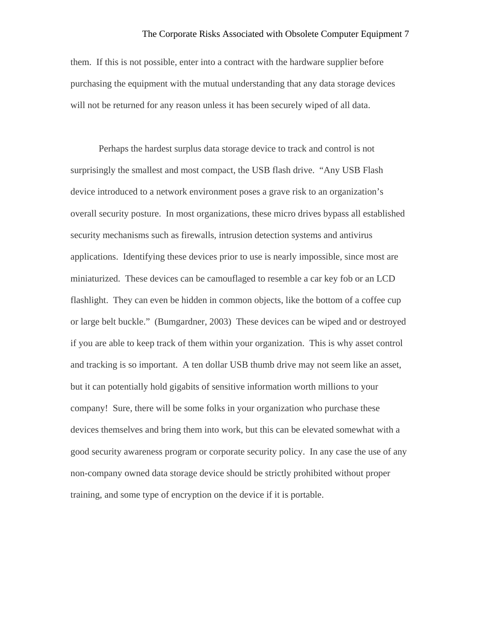them. If this is not possible, enter into a contract with the hardware supplier before purchasing the equipment with the mutual understanding that any data storage devices will not be returned for any reason unless it has been securely wiped of all data.

 Perhaps the hardest surplus data storage device to track and control is not surprisingly the smallest and most compact, the USB flash drive. "Any USB Flash device introduced to a network environment poses a grave risk to an organization's overall security posture. In most organizations, these micro drives bypass all established security mechanisms such as firewalls, intrusion detection systems and antivirus applications. Identifying these devices prior to use is nearly impossible, since most are miniaturized. These devices can be camouflaged to resemble a car key fob or an LCD flashlight. They can even be hidden in common objects, like the bottom of a coffee cup or large belt buckle." (Bumgardner, 2003) These devices can be wiped and or destroyed if you are able to keep track of them within your organization. This is why asset control and tracking is so important. A ten dollar USB thumb drive may not seem like an asset, but it can potentially hold gigabits of sensitive information worth millions to your company! Sure, there will be some folks in your organization who purchase these devices themselves and bring them into work, but this can be elevated somewhat with a good security awareness program or corporate security policy. In any case the use of any non-company owned data storage device should be strictly prohibited without proper training, and some type of encryption on the device if it is portable.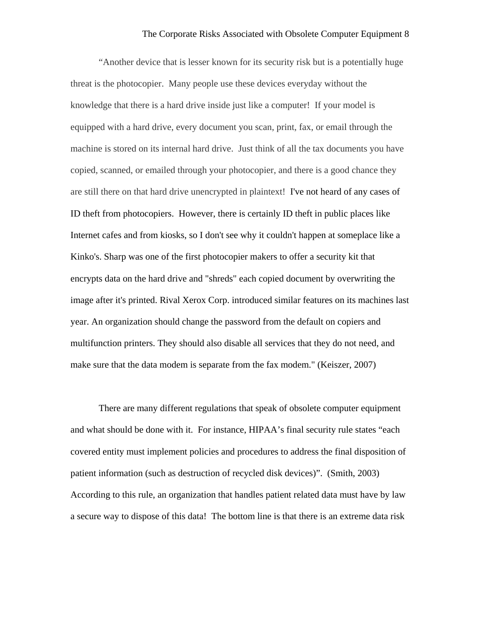"Another device that is lesser known for its security risk but is a potentially huge threat is the photocopier. Many people use these devices everyday without the knowledge that there is a hard drive inside just like a computer! If your model is equipped with a hard drive, every document you scan, print, fax, or email through the machine is stored on its internal hard drive. Just think of all the tax documents you have copied, scanned, or emailed through your photocopier, and there is a good chance they are still there on that hard drive unencrypted in plaintext! I've not heard of any cases of ID theft from photocopiers. However, there is certainly ID theft in public places like Internet cafes and from kiosks, so I don't see why it couldn't happen at someplace like a Kinko's. Sharp was one of the first photocopier makers to offer a security kit that encrypts data on the hard drive and "shreds" each copied document by overwriting the image after it's printed. Rival Xerox Corp. introduced similar features on its machines last year. An organization should change the password from the default on copiers and multifunction printers. They should also disable all services that they do not need, and make sure that the data modem is separate from the fax modem." (Keiszer, 2007)

There are many different regulations that speak of obsolete computer equipment and what should be done with it. For instance, HIPAA's final security rule states "each covered entity must implement policies and procedures to address the final disposition of patient information (such as destruction of recycled disk devices)". (Smith, 2003) According to this rule, an organization that handles patient related data must have by law a secure way to dispose of this data! The bottom line is that there is an extreme data risk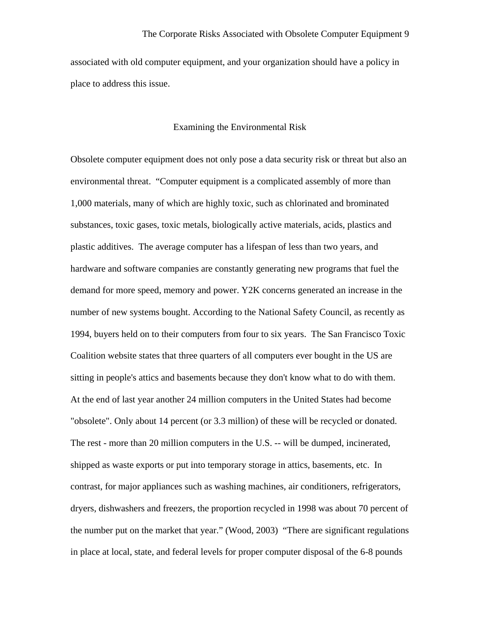associated with old computer equipment, and your organization should have a policy in place to address this issue.

### Examining the Environmental Risk

Obsolete computer equipment does not only pose a data security risk or threat but also an environmental threat. "Computer equipment is a complicated assembly of more than 1,000 materials, many of which are highly toxic, such as chlorinated and brominated substances, toxic gases, toxic metals, biologically active materials, acids, plastics and plastic additives. The average computer has a lifespan of less than two years, and hardware and software companies are constantly generating new programs that fuel the demand for more speed, memory and power. Y2K concerns generated an increase in the number of new systems bought. According to the National Safety Council, as recently as 1994, buyers held on to their computers from four to six years. The San Francisco Toxic Coalition website states that three quarters of all computers ever bought in the US are sitting in people's attics and basements because they don't know what to do with them. At the end of last year another 24 million computers in the United States had become "obsolete". Only about 14 percent (or 3.3 million) of these will be recycled or donated. The rest - more than 20 million computers in the U.S. -- will be dumped, incinerated, shipped as waste exports or put into temporary storage in attics, basements, etc. In contrast, for major appliances such as washing machines, air conditioners, refrigerators, dryers, dishwashers and freezers, the proportion recycled in 1998 was about 70 percent of the number put on the market that year." (Wood, 2003) "There are significant regulations in place at local, state, and federal levels for proper computer disposal of the 6-8 pounds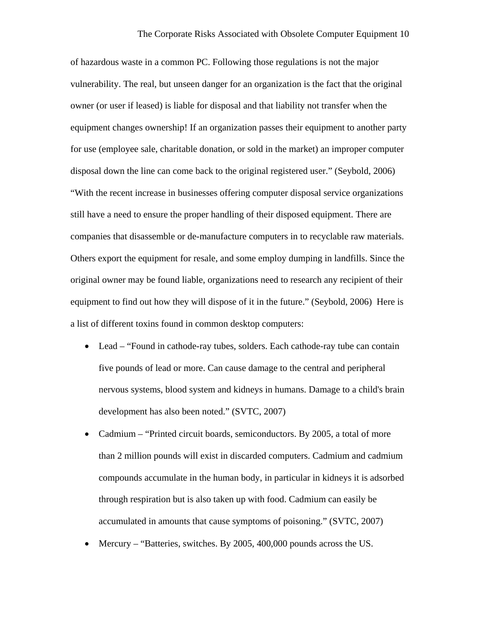of hazardous waste in a common PC. Following those regulations is not the major vulnerability. The real, but unseen danger for an organization is the fact that the original owner (or user if leased) is liable for disposal and that liability not transfer when the equipment changes ownership! If an organization passes their equipment to another party for use (employee sale, charitable donation, or sold in the market) an improper computer disposal down the line can come back to the original registered user." (Seybold, 2006) "With the recent increase in businesses offering computer disposal service organizations still have a need to ensure the proper handling of their disposed equipment. There are companies that disassemble or de-manufacture computers in to recyclable raw materials. Others export the equipment for resale, and some employ dumping in landfills. Since the original owner may be found liable, organizations need to research any recipient of their equipment to find out how they will dispose of it in the future." (Seybold, 2006) Here is a list of different toxins found in common desktop computers:

- Lead "Found in cathode-ray tubes, solders. Each cathode-ray tube can contain five pounds of lead or more. Can cause damage to the central and peripheral nervous systems, blood system and kidneys in humans. Damage to a child's brain development has also been noted." (SVTC, 2007)
- Cadmium "Printed circuit boards, semiconductors. By 2005, a total of more than 2 million pounds will exist in discarded computers. Cadmium and cadmium compounds accumulate in the human body, in particular in kidneys it is adsorbed through respiration but is also taken up with food. Cadmium can easily be accumulated in amounts that cause symptoms of poisoning." (SVTC, 2007)
- Mercury "Batteries, switches. By 2005, 400,000 pounds across the US.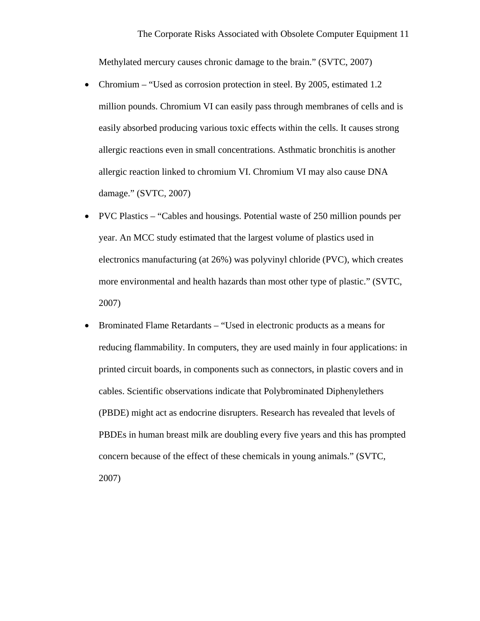Methylated mercury causes chronic damage to the brain." (SVTC, 2007)

- Chromium "Used as corrosion protection in steel. By 2005, estimated 1.2 million pounds. Chromium VI can easily pass through membranes of cells and is easily absorbed producing various toxic effects within the cells. It causes strong allergic reactions even in small concentrations. Asthmatic bronchitis is another allergic reaction linked to chromium VI. Chromium VI may also cause DNA damage." (SVTC, 2007)
- PVC Plastics "Cables and housings. Potential waste of 250 million pounds per year. An MCC study estimated that the largest volume of plastics used in electronics manufacturing (at 26%) was polyvinyl chloride (PVC), which creates more environmental and health hazards than most other type of plastic." (SVTC, 2007)
- Brominated Flame Retardants "Used in electronic products as a means for reducing flammability. In computers, they are used mainly in four applications: in printed circuit boards, in components such as connectors, in plastic covers and in cables. Scientific observations indicate that Polybrominated Diphenylethers (PBDE) might act as endocrine disrupters. Research has revealed that levels of PBDEs in human breast milk are doubling every five years and this has prompted concern because of the effect of these chemicals in young animals." (SVTC, 2007)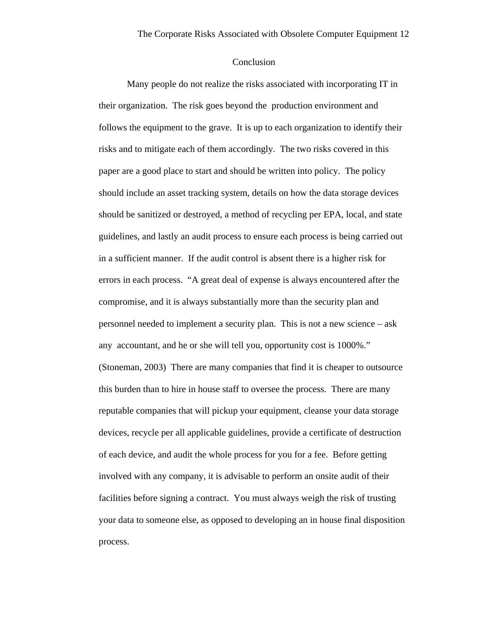## Conclusion

 Many people do not realize the risks associated with incorporating IT in their organization. The risk goes beyond the production environment and follows the equipment to the grave. It is up to each organization to identify their risks and to mitigate each of them accordingly. The two risks covered in this paper are a good place to start and should be written into policy. The policy should include an asset tracking system, details on how the data storage devices should be sanitized or destroyed, a method of recycling per EPA, local, and state guidelines, and lastly an audit process to ensure each process is being carried out in a sufficient manner. If the audit control is absent there is a higher risk for errors in each process. "A great deal of expense is always encountered after the compromise, and it is always substantially more than the security plan and personnel needed to implement a security plan. This is not a new science – ask any accountant, and he or she will tell you, opportunity cost is 1000%." (Stoneman, 2003) There are many companies that find it is cheaper to outsource this burden than to hire in house staff to oversee the process. There are many reputable companies that will pickup your equipment, cleanse your data storage devices, recycle per all applicable guidelines, provide a certificate of destruction of each device, and audit the whole process for you for a fee. Before getting involved with any company, it is advisable to perform an onsite audit of their facilities before signing a contract. You must always weigh the risk of trusting your data to someone else, as opposed to developing an in house final disposition process.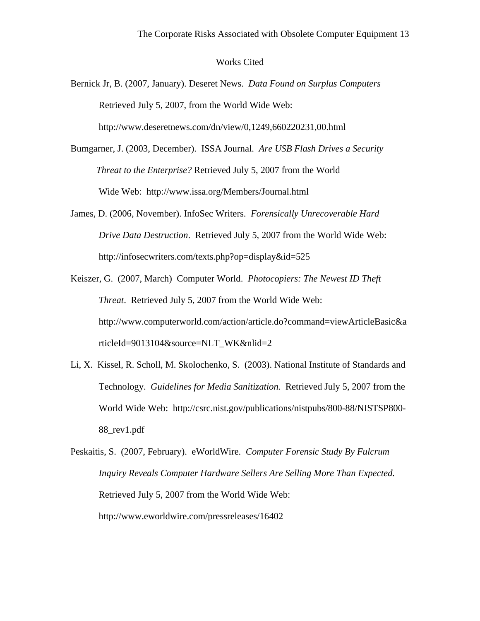#### Works Cited

- Bernick Jr, B. (2007, January). Deseret News. *Data Found on Surplus Computers* Retrieved July 5, 2007, from the World Wide Web: http://www.deseretnews.com/dn/view/0,1249,660220231,00.html
- Bumgarner, J. (2003, December). ISSA Journal. *Are USB Flash Drives a Security Threat to the Enterprise?* Retrieved July 5, 2007 from the World Wide Web: http://www.issa.org/Members/Journal.html
- James, D. (2006, November). InfoSec Writers. *Forensically Unrecoverable Hard Drive Data Destruction*. Retrieved July 5, 2007 from the World Wide Web: http://infosecwriters.com/texts.php?op=display&id=525
- Keiszer, G. (2007, March) Computer World. *Photocopiers: The Newest ID Theft Threat*. Retrieved July 5, 2007 from the World Wide Web: http://www.computerworld.com/action/article.do?command=viewArticleBasic&a rticleId=9013104&source=NLT\_WK&nlid=2
- Li, X. Kissel, R. Scholl, M. Skolochenko, S. (2003). National Institute of Standards and Technology. *Guidelines for Media Sanitization.* Retrieved July 5, 2007 from the World Wide Web: http://csrc.nist.gov/publications/nistpubs/800-88/NISTSP800- 88\_rev1.pdf
- Peskaitis, S. (2007, February). eWorldWire. *Computer Forensic Study By Fulcrum Inquiry Reveals Computer Hardware Sellers Are Selling More Than Expected.*  Retrieved July 5, 2007 from the World Wide Web: http://www.eworldwire.com/pressreleases/16402